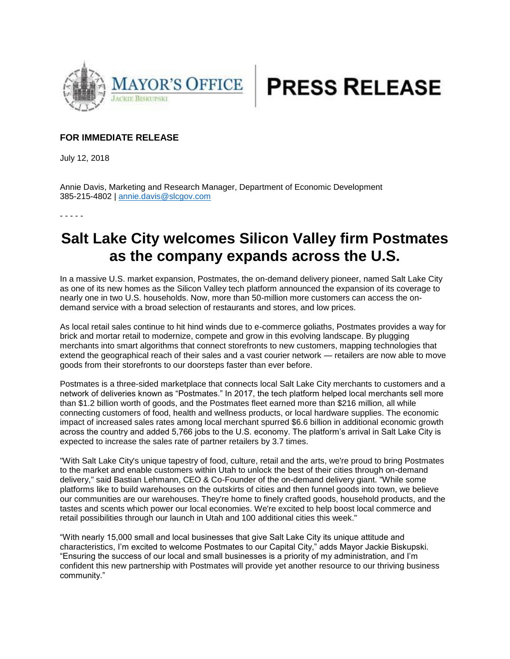



## **FOR IMMEDIATE RELEASE**

July 12, 2018

Annie Davis, Marketing and Research Manager, Department of Economic Development 385-215-4802 | [annie.davis@slcgov.com](mailto:annie.davis@slcgov.com)

- - - - -

## **Salt Lake City welcomes Silicon Valley firm Postmates as the company expands across the U.S.**

In a massive U.S. market expansion, Postmates, the on-demand delivery pioneer, named Salt Lake City as one of its new homes as the Silicon Valley tech platform announced the expansion of its coverage to nearly one in two U.S. households. Now, more than 50-million more customers can access the ondemand service with a broad selection of restaurants and stores, and low prices.

As local retail sales continue to hit hind winds due to e-commerce goliaths, Postmates provides a way for brick and mortar retail to modernize, compete and grow in this evolving landscape. By plugging merchants into smart algorithms that connect storefronts to new customers, mapping technologies that extend the geographical reach of their sales and a vast courier network — retailers are now able to move goods from their storefronts to our doorsteps faster than ever before.

Postmates is a three-sided marketplace that connects local Salt Lake City merchants to customers and a network of deliveries known as "Postmates." In 2017, the tech platform helped local merchants sell more than \$1.2 billion worth of goods, and the Postmates fleet earned more than \$216 million, all while connecting customers of food, health and wellness products, or local hardware supplies. The economic impact of increased sales rates among local merchant spurred \$6.6 billion in additional economic growth across the country and added 5,766 jobs to the U.S. economy. The platform's arrival in Salt Lake City is expected to increase the sales rate of partner retailers by 3.7 times.

"With Salt Lake City's unique tapestry of food, culture, retail and the arts, we're proud to bring Postmates to the market and enable customers within Utah to unlock the best of their cities through on-demand delivery," said Bastian Lehmann, CEO & Co-Founder of the on-demand delivery giant. "While some platforms like to build warehouses on the outskirts of cities and then funnel goods into town, we believe our communities are our warehouses. They're home to finely crafted goods, household products, and the tastes and scents which power our local economies. We're excited to help boost local commerce and retail possibilities through our launch in Utah and 100 additional cities this week."

"With nearly 15,000 small and local businesses that give Salt Lake City its unique attitude and characteristics, I'm excited to welcome Postmates to our Capital City," adds Mayor Jackie Biskupski. "Ensuring the success of our local and small businesses is a priority of my administration, and I'm confident this new partnership with Postmates will provide yet another resource to our thriving business community."